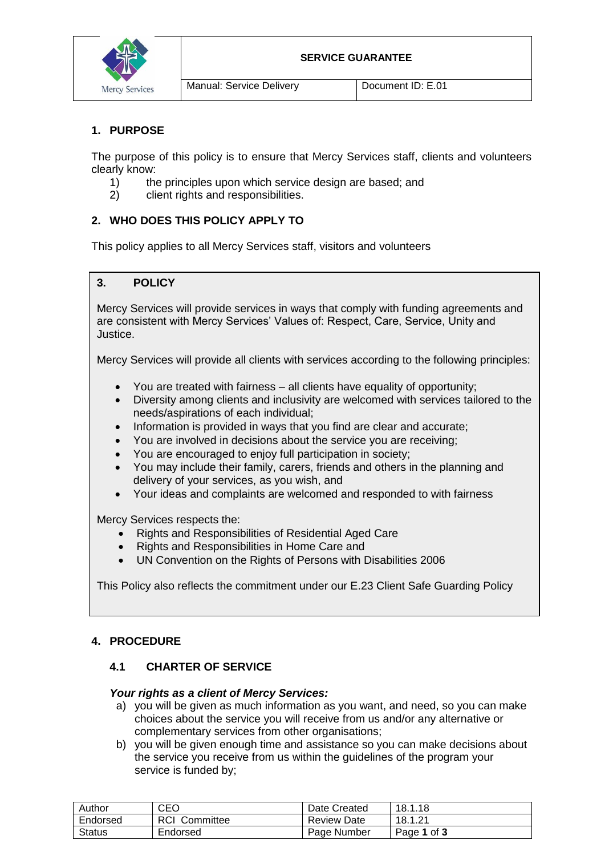

#### **SERVICE GUARANTEE**

Manual: Service Delivery **Disk Replicit ID: E.01** 

### **1. PURPOSE**

The purpose of this policy is to ensure that Mercy Services staff, clients and volunteers clearly know:

- 1) the principles upon which service design are based; and
- 2) client rights and responsibilities.

# **2. WHO DOES THIS POLICY APPLY TO**

This policy applies to all Mercy Services staff, visitors and volunteers

# **3. POLICY**

Mercy Services will provide services in ways that comply with funding agreements and are consistent with Mercy Services' Values of: Respect, Care, Service, Unity and Justice.

Mercy Services will provide all clients with services according to the following principles:

- You are treated with fairness all clients have equality of opportunity;
- Diversity among clients and inclusivity are welcomed with services tailored to the needs/aspirations of each individual;
- Information is provided in ways that you find are clear and accurate;
- You are involved in decisions about the service you are receiving;
- You are encouraged to enjoy full participation in society;
- You may include their family, carers, friends and others in the planning and delivery of your services, as you wish, and
- Your ideas and complaints are welcomed and responded to with fairness

Mercy Services respects the:

- Rights and Responsibilities of Residential Aged Care
- Rights and Responsibilities in Home Care and
- UN Convention on the Rights of Persons with Disabilities 2006

This Policy also reflects the commitment under our E.23 Client Safe Guarding Policy

# **4. PROCEDURE**

# **4.1 CHARTER OF SERVICE**

### *Your rights as a client of Mercy Services:*

- a) you will be given as much information as you want, and need, so you can make choices about the service you will receive from us and/or any alternative or complementary services from other organisations;
- b) you will be given enough time and assistance so you can make decisions about the service you receive from us within the guidelines of the program your service is funded by;

| Author        | CEO              | Date Created | 18.1.18     |
|---------------|------------------|--------------|-------------|
| Endorsed      | RCI<br>Committee | Review Date  | 18.1.21     |
| <b>Status</b> | Endorsed         | Page Number  | Page 1 of 3 |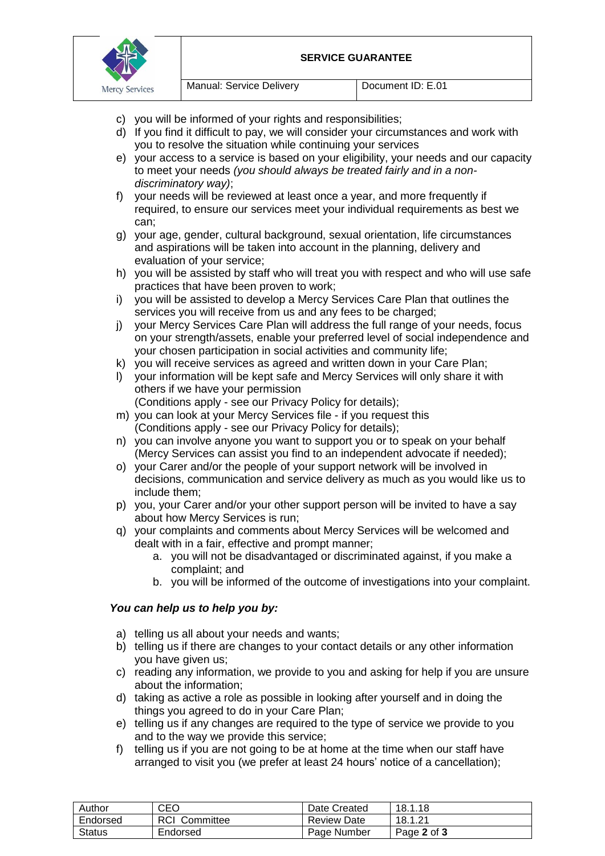

- c) vou will be informed of your rights and responsibilities;
- d) If you find it difficult to pay, we will consider your circumstances and work with you to resolve the situation while continuing your services
- e) your access to a service is based on your eligibility, your needs and our capacity to meet your needs *(you should always be treated fairly and in a nondiscriminatory way)*;
- f) your needs will be reviewed at least once a year, and more frequently if required, to ensure our services meet your individual requirements as best we can;
- g) your age, gender, cultural background, sexual orientation, life circumstances and aspirations will be taken into account in the planning, delivery and evaluation of your service;
- h) you will be assisted by staff who will treat you with respect and who will use safe practices that have been proven to work;
- i) you will be assisted to develop a Mercy Services Care Plan that outlines the services you will receive from us and any fees to be charged;
- j) your Mercy Services Care Plan will address the full range of your needs, focus on your strength/assets, enable your preferred level of social independence and your chosen participation in social activities and community life;
- k) you will receive services as agreed and written down in your Care Plan;
- l) your information will be kept safe and Mercy Services will only share it with others if we have your permission
	- (Conditions apply see our Privacy Policy for details);
- m) you can look at your Mercy Services file if you request this (Conditions apply - see our Privacy Policy for details);
- n) you can involve anyone you want to support you or to speak on your behalf (Mercy Services can assist you find to an independent advocate if needed);
- o) your Carer and/or the people of your support network will be involved in decisions, communication and service delivery as much as you would like us to include them;
- p) you, your Carer and/or your other support person will be invited to have a say about how Mercy Services is run;
- q) your complaints and comments about Mercy Services will be welcomed and dealt with in a fair, effective and prompt manner;
	- a. you will not be disadvantaged or discriminated against, if you make a complaint; and
	- b. you will be informed of the outcome of investigations into your complaint.

### *You can help us to help you by:*

- a) telling us all about your needs and wants;
- b) telling us if there are changes to your contact details or any other information you have given us;
- c) reading any information, we provide to you and asking for help if you are unsure about the information;
- d) taking as active a role as possible in looking after yourself and in doing the things you agreed to do in your Care Plan;
- e) telling us if any changes are required to the type of service we provide to you and to the way we provide this service;
- f) telling us if you are not going to be at home at the time when our staff have arranged to visit you (we prefer at least 24 hours' notice of a cancellation);

| Author        | CEO               | Date Created       | 18.1.18     |
|---------------|-------------------|--------------------|-------------|
| Endorsed      | RCI.<br>Committee | <b>Review Date</b> | 18.1.21     |
| <b>Status</b> | Endorsed          | Page Number        | Page 2 of 3 |